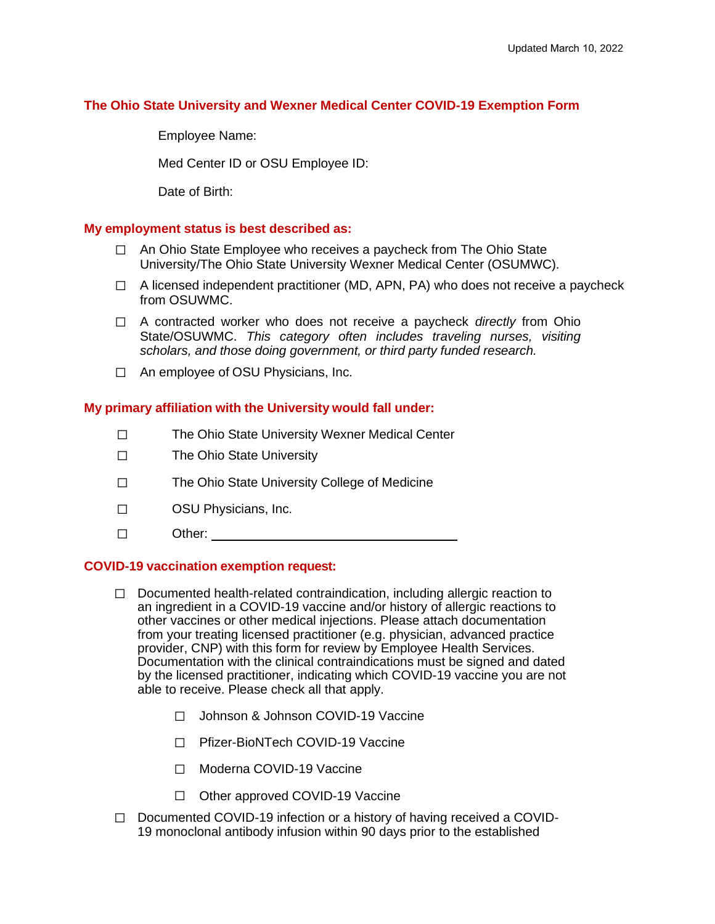## **The Ohio State University and Wexner Medical Center COVID-19 Exemption Form**

Employee Name:

Med Center ID or OSU Employee ID:

Date of Birth:

#### **My employment status is best described as:**

- □ An Ohio State Employee who receives a paycheck from The Ohio State University/The Ohio State University Wexner Medical Center (OSUMWC).
- $\Box$  A licensed independent practitioner (MD, APN, PA) who does not receive a paycheck from OSUWMC.
- ☐ A contracted worker who does not receive a paycheck *directly* from Ohio State/OSUWMC. *This category often includes traveling nurses, visiting scholars, and those doing government, or third party funded research.*
- ☐ An employee of OSU Physicians, Inc.

#### **My primary affiliation with the University would fall under:**

- ☐ The Ohio State University Wexner Medical Center
- ☐ The Ohio State University
- ☐ The Ohio State University College of Medicine
- ☐ OSU Physicians, Inc.
- ☐ Other:

#### **COVID-19 vaccination exemption request:**

- $\Box$  Documented health-related contraindication, including allergic reaction to an ingredient in a COVID-19 vaccine and/or history of allergic reactions to other vaccines or other medical injections. Please attach documentation from your treating licensed practitioner (e.g. physician, advanced practice provider, CNP) with this form for review by Employee Health Services. Documentation with the clinical contraindications must be signed and dated by the licensed practitioner, indicating which COVID-19 vaccine you are not able to receive. Please check all that apply.
	- ☐ Johnson & Johnson COVID-19 Vaccine
	- ☐ Pfizer-BioNTech COVID-19 Vaccine
	- ☐ Moderna COVID-19 Vaccine
	- ☐ Other approved COVID-19 Vaccine
- ☐ Documented COVID-19 infection or a history of having received a COVID-19 monoclonal antibody infusion within 90 days prior to the established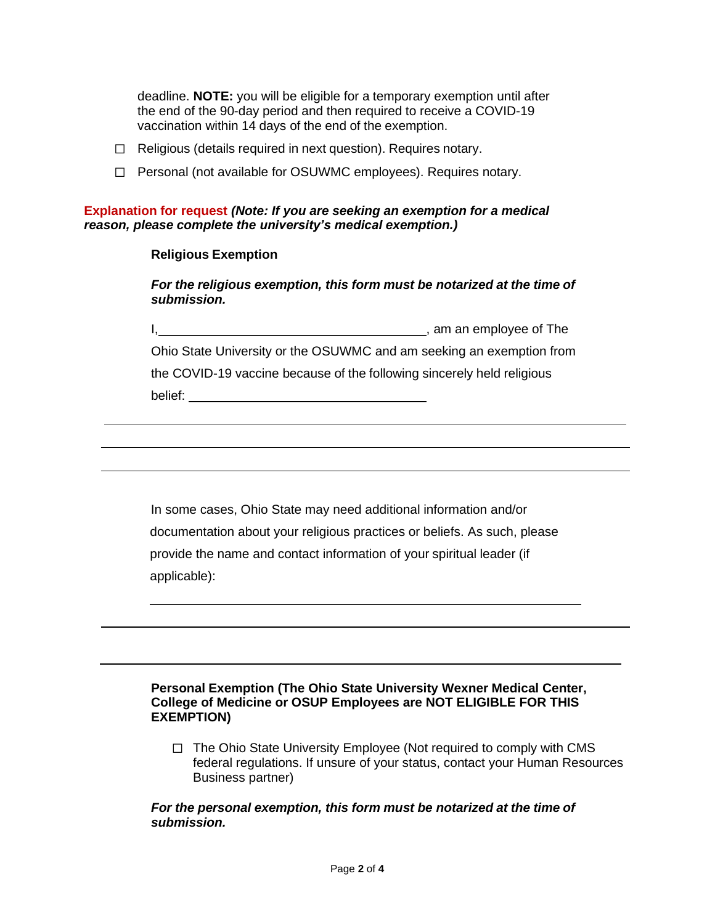deadline. **NOTE:** you will be eligible for a temporary exemption until after the end of the 90-day period and then required to receive a COVID-19 vaccination within 14 days of the end of the exemption.

- ☐ Religious (details required in next question). Requires notary.
- ☐ Personal (not available for OSUWMC employees). Requires notary.

**Explanation for request** *(Note: If you are seeking an exemption for a medical reason, please complete the university's medical exemption.)*

#### **Religious Exemption**

*For the religious exemption, this form must be notarized at the time of submission.*

I, am an employee of The local contract the local contract of the local contract of the local contract of the local contract of the local contract of the local contract of the local contract of the local contract of the lo

Ohio State University or the OSUWMC and am seeking an exemption from

the COVID-19 vaccine because of the following sincerely held religious belief:

In some cases, Ohio State may need additional information and/or documentation about your religious practices or beliefs. As such, please provide the name and contact information of your spiritual leader (if applicable):

## **Personal Exemption (The Ohio State University Wexner Medical Center, College of Medicine or OSUP Employees are NOT ELIGIBLE FOR THIS EXEMPTION)**

□ The Ohio State University Employee (Not required to comply with CMS federal regulations. If unsure of your status, contact your Human Resources Business partner)

#### *For the personal exemption, this form must be notarized at the time of submission.*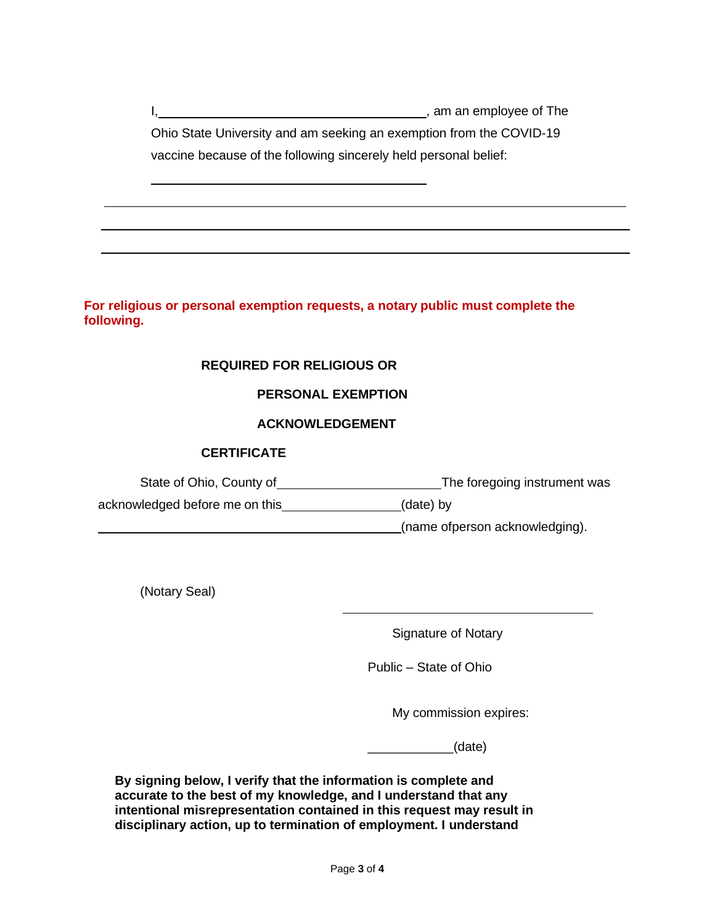I, the contract of the contract of the contract of the contract of the contract of the contract of the contract of the contract of the contract of the contract of the contract of the contract of the contract of the contrac Ohio State University and am seeking an exemption from the COVID-19 vaccine because of the following sincerely held personal belief:

**For religious or personal exemption requests, a notary public must complete the following.**

# **REQUIRED FOR RELIGIOUS OR**

#### **PERSONAL EXEMPTION**

## **ACKNOWLEDGEMENT**

#### **CERTIFICATE**

State of Ohio, County of The foregoing instrument was

acknowledged before me on this (date) by

(name ofperson acknowledging).

(Notary Seal)

Signature of Notary

Public – State of Ohio

My commission expires:

\_\_\_\_\_\_\_\_\_\_\_\_(date)

**By signing below, I verify that the information is complete and accurate to the best of my knowledge, and I understand that any intentional misrepresentation contained in this request may result in disciplinary action, up to termination of employment. I understand**